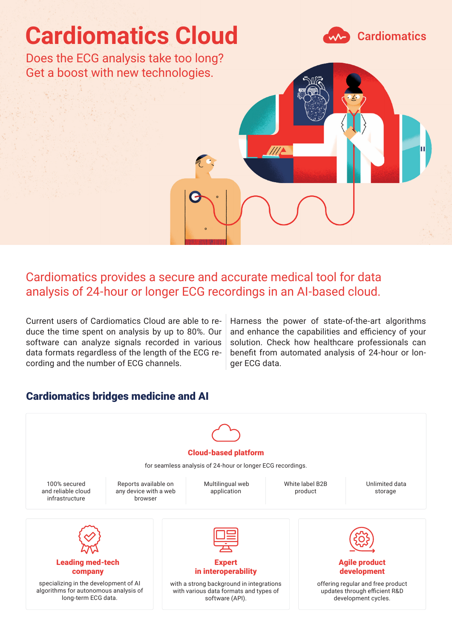

# Cardiomatics provides a secure and accurate medical tool for data analysis of 24-hour or longer ECG recordings in an AI-based cloud.

Current users of Cardiomatics Cloud are able to reduce the time spent on analysis by up to 80%. Our software can analyze signals recorded in various data formats regardless of the length of the ECG recording and the number of ECG channels.

Harness the power of state-of-the-art algorithms and enhance the capabilities and efficiency of your solution. Check how healthcare professionals can benefit from automated analysis of 24-hour or longer ECG data.

### Cardiomatics bridges medicine and AI